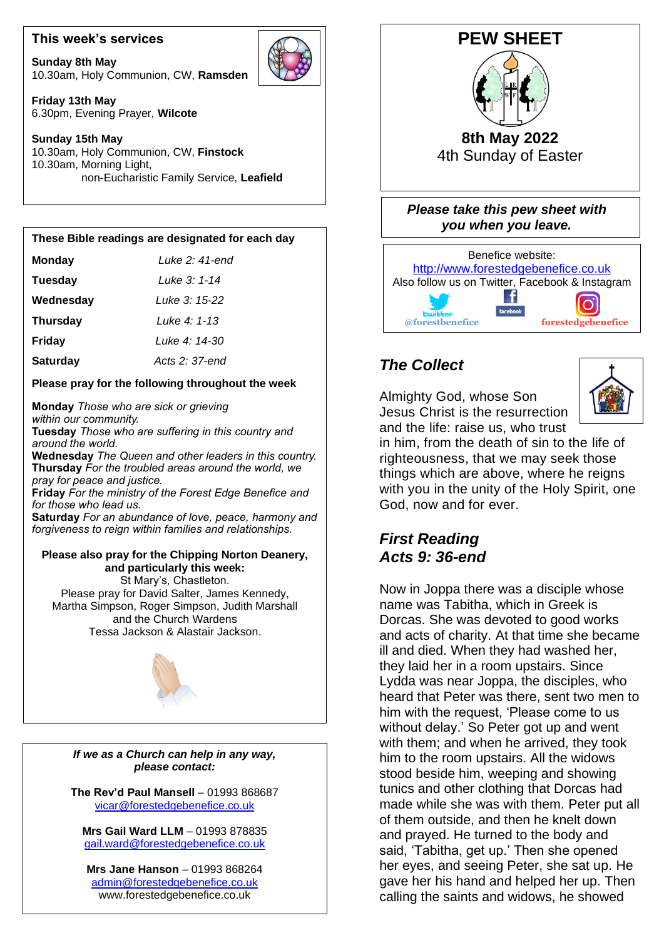## **This week's services**

**Sunday 8th May** 10.30am, Holy Communion, CW, **Ramsden**



**Friday 13th May** 6.30pm, Evening Prayer, **Wilcote**

#### **Sunday 15th May** 10.30am, Holy Communion, CW, **Finstock** 10.30am, Morning Light, non-Eucharistic Family Service, **Leafield**

### **These Bible readings are designated for each day**

| <b>Monday</b>   | Luke 2: 41-end |
|-----------------|----------------|
| <b>Tuesday</b>  | Luke 3: 1-14   |
| Wednesday       | Luke 3: 15-22  |
| <b>Thursday</b> | Luke 4: 1-13   |
| <b>Friday</b>   | Luke 4: 14-30  |
| <b>Saturday</b> | Acts 2: 37-end |

## **Please pray for the following throughout the week**

**Monday** *Those who are sick or grieving within our community.*

**Tuesday** *Those who are suffering in this country and around the world.*

**Wednesday** *The Queen and other leaders in this country.* **Thursday** *For the troubled areas around the world, we pray for peace and justice.*

**Friday** *For the ministry of the Forest Edge Benefice and for those who lead us.*

 *forgiveness to reign within families and relationships.* **Saturday** *For an abundance of love, peace, harmony and*

### **Please also pray for the Chipping Norton Deanery, and particularly this week:**

 Martha Simpson, Roger Simpson, Judith Marshall St Mary's, Chastleton. Please pray for David Salter, James Kennedy, and the Church Wardens Tessa Jackson & Alastair Jackson.



*If we as a Church can help in any way, please contact:*

**The Rev'd Paul Mansell** – 01993 868687 [vicar@forestedgebenefice.co.uk](mailto:vicar@forestedgebenefice.co.uk)

**Mrs Gail Ward LLM** – 01993 878835 [gail.ward@forestedgebenefice.co.uk](mailto:gail.ward@forestedgebenefice.co.uk)

**Mrs Jane Hanson** – 01993 868264 [admin@forestedgebenefice.co.uk](mailto:admin@forestedgebenefice.co.uk) www.forestedgebenefice.co.uk





# *The Collect*

Almighty God, whose Son Jesus Christ is the resurrection and the life: raise us, who trust



in him, from the death of sin to the life of righteousness, that we may seek those things which are above, where he reigns with you in the unity of the Holy Spirit, one God, now and for ever.

# *First Reading Acts 9: 36-end*

Now in Joppa there was a disciple whose name was Tabitha, which in Greek is Dorcas. She was devoted to good works and acts of charity. At that time she became ill and died. When they had washed her, they laid her in a room upstairs. Since Lydda was near Joppa, the disciples, who heard that Peter was there, sent two men to him with the request, 'Please come to us without delay.' So Peter got up and went with them; and when he arrived, they took him to the room upstairs. All the widows stood beside him, weeping and showing tunics and other clothing that Dorcas had made while she was with them. Peter put all of them outside, and then he knelt down and prayed. He turned to the body and said, 'Tabitha, get up.' Then she opened her eyes, and seeing Peter, she sat up. He gave her his hand and helped her up. Then calling the saints and widows, he showed